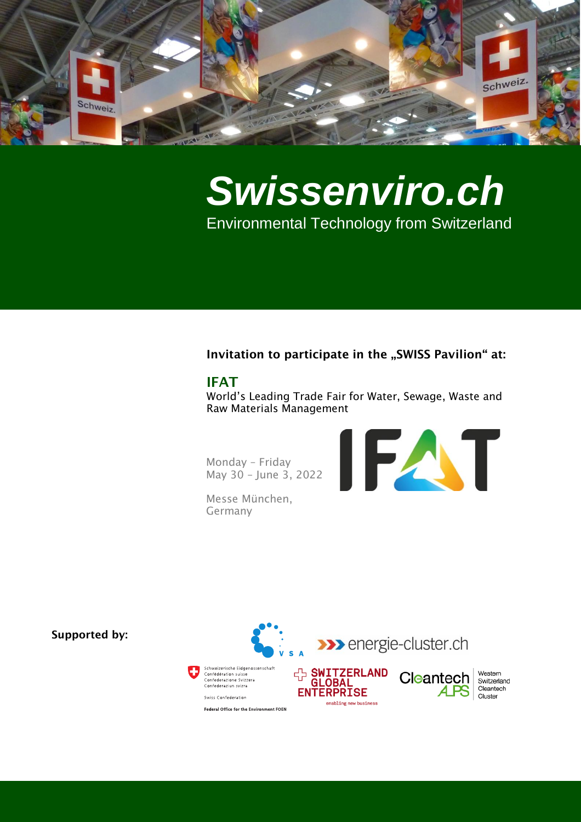

# *Swissenviro.ch* Environmental Technology from Switzerland

# Invitation to participate in the "SWISS Pavilion" at:

# IFAT

World's Leading Trade Fair for Water, Sewage, Waste and Raw Materials Management

Monday – Friday May 30 – June 3, 2022

Messe München, Germany





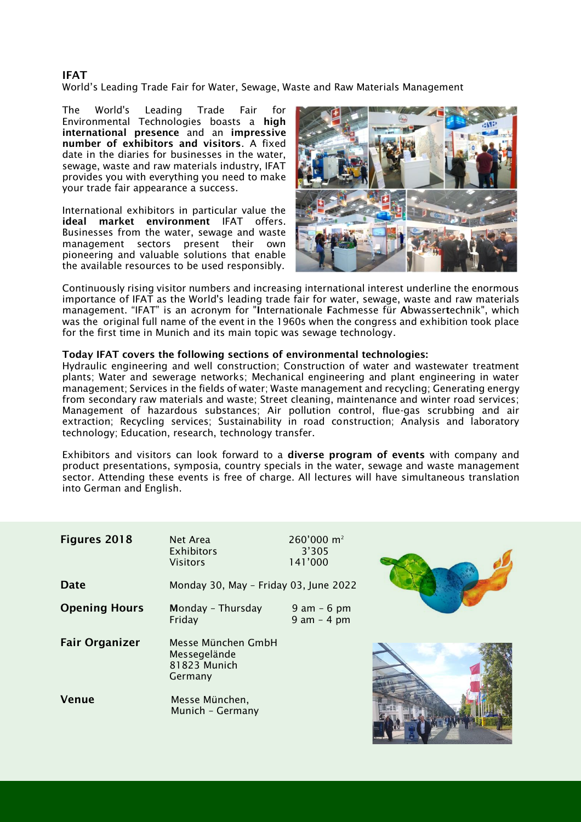# IFAT

World's Leading Trade Fair for Water, Sewage, Waste and Raw Materials Management

The World's Leading Trade Fair for Environmental Technologies boasts a high international presence and an impressive number of exhibitors and visitors. A fixed date in the diaries for businesses in the water, sewage, waste and raw materials industry, IFAT provides you with everything you need to make your trade fair appearance a success.

International exhibitors in particular value the ideal market environment IFAT offers. Businesses from the water, sewage and waste management sectors present their own pioneering and valuable solutions that enable the available resources to be used responsibly.



Continuously rising visitor numbers and increasing international interest underline the enormous importance of IFAT as the World's leading trade fair for water, sewage, waste and raw materials management. "IFAT" is an acronym for "Internationale Fachmesse für Abwassertechnik", which was the original full name of the event in the 1960s when the congress and exhibition took place for the first time in Munich and its main topic was sewage technology.

### Today IFAT covers the following sections of environmental technologies:

Hydraulic engineering and well construction; Construction of water and wastewater treatment plants; Water and sewerage networks; Mechanical engineering and plant engineering in water management; Services in the fields of water; Waste management and recycling; Generating energy from secondary raw materials and waste; Street cleaning, maintenance and winter road services; Management of hazardous substances; Air pollution control, flue-gas scrubbing and air extraction; Recycling services; Sustainability in road construction; Analysis and laboratory technology; Education, research, technology transfer.

Exhibitors and visitors can look forward to a diverse program of events with company and product presentations, symposia, country specials in the water, sewage and waste management sector. Attending these events is free of charge. All lectures will have simultaneous translation into German and English.

| <b>Figures 2018</b>   | Net Area<br><b>Exhibitors</b><br><b>Visitors</b>              | 260'000 m <sup>2</sup><br>3'305<br>141'000 |  |
|-----------------------|---------------------------------------------------------------|--------------------------------------------|--|
| <b>Date</b>           | Monday 30, May - Friday 03, June 2022                         |                                            |  |
| <b>Opening Hours</b>  | Monday - Thursday<br>Friday                                   | $9$ am $-6$ pm<br>$9$ am $-$ 4 pm          |  |
| <b>Fair Organizer</b> | Messe München GmbH<br>Messegelände<br>81823 Munich<br>Germany |                                            |  |
| <b>Venue</b>          | Messe München,<br>Munich - Germany                            |                                            |  |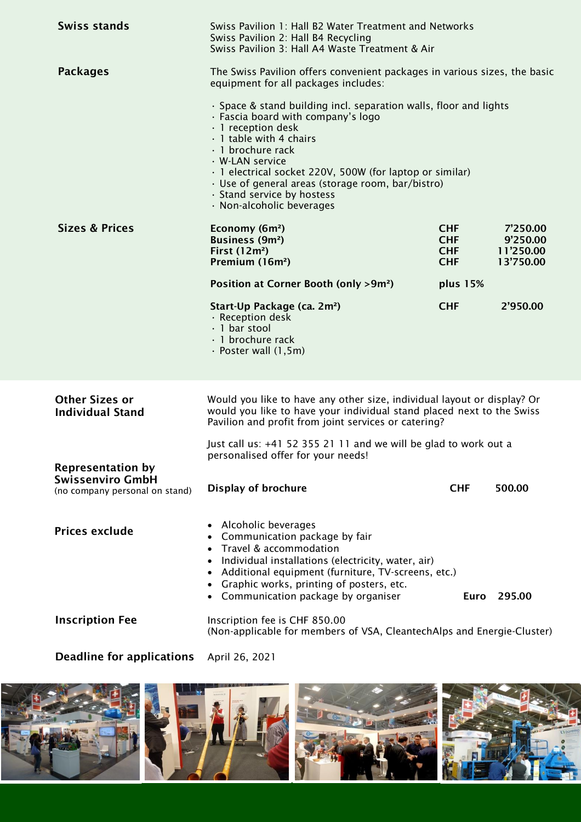| <b>Swiss stands</b>                                       | Swiss Pavilion 2: Hall B4 Recycling                                                                                                                                                                                                                                                                                                                                          | Swiss Pavilion 1: Hall B2 Water Treatment and Networks<br>Swiss Pavilion 3: Hall A4 Waste Treatment & Air                                                                                                |                                                |  |
|-----------------------------------------------------------|------------------------------------------------------------------------------------------------------------------------------------------------------------------------------------------------------------------------------------------------------------------------------------------------------------------------------------------------------------------------------|----------------------------------------------------------------------------------------------------------------------------------------------------------------------------------------------------------|------------------------------------------------|--|
| <b>Packages</b>                                           | equipment for all packages includes:                                                                                                                                                                                                                                                                                                                                         | The Swiss Pavilion offers convenient packages in various sizes, the basic                                                                                                                                |                                                |  |
|                                                           | · Space & stand building incl. separation walls, floor and lights<br>· Fascia board with company's logo<br>· 1 reception desk<br>· 1 table with 4 chairs<br>· 1 brochure rack<br>· W-LAN service<br>· 1 electrical socket 220V, 500W (for laptop or similar)<br>· Use of general areas (storage room, bar/bistro)<br>· Stand service by hostess<br>· Non-alcoholic beverages |                                                                                                                                                                                                          |                                                |  |
| <b>Sizes &amp; Prices</b>                                 | Economy (6m <sup>2</sup> )<br><b>Business (9m<sup>2</sup>)</b><br>First $(12m^2)$<br>Premium (16m <sup>2</sup> )                                                                                                                                                                                                                                                             | <b>CHF</b><br><b>CHF</b><br><b>CHF</b><br><b>CHF</b>                                                                                                                                                     | 7'250.00<br>9'250.00<br>11'250.00<br>13'750.00 |  |
|                                                           | Position at Corner Booth (only >9m <sup>2</sup> )                                                                                                                                                                                                                                                                                                                            | plus 15%                                                                                                                                                                                                 |                                                |  |
|                                                           | Start-Up Package (ca. 2m <sup>2</sup> )<br>· Reception desk<br>$\cdot$ 1 bar stool<br>· 1 brochure rack<br>$\cdot$ Poster wall (1,5m)                                                                                                                                                                                                                                        | <b>CHF</b>                                                                                                                                                                                               | 2'950.00                                       |  |
| <b>Other Sizes or</b><br><b>Individual Stand</b>          |                                                                                                                                                                                                                                                                                                                                                                              | Would you like to have any other size, individual layout or display? Or<br>would you like to have your individual stand placed next to the Swiss<br>Pavilion and profit from joint services or catering? |                                                |  |
| <b>Representation by</b>                                  | Just call us: +41 52 355 21 11 and we will be glad to work out a<br>personalised offer for your needs!                                                                                                                                                                                                                                                                       |                                                                                                                                                                                                          |                                                |  |
| <b>Swissenviro GmbH</b><br>(no company personal on stand) | Display of brochure                                                                                                                                                                                                                                                                                                                                                          | <b>CHF</b>                                                                                                                                                                                               | 500.00                                         |  |
| <b>Prices exclude</b>                                     | Alcoholic beverages<br>Communication package by fair<br>Travel & accommodation<br>Individual installations (electricity, water, air)<br>Additional equipment (furniture, TV-screens, etc.)<br>Graphic works, printing of posters, etc.<br>• Communication package by organiser                                                                                               | <b>Euro</b>                                                                                                                                                                                              | 295.00                                         |  |
| <b>Inscription Fee</b>                                    | Inscription fee is CHF 850.00<br>(Non-applicable for members of VSA, CleantechAlps and Energie-Cluster)                                                                                                                                                                                                                                                                      |                                                                                                                                                                                                          |                                                |  |

Deadline for applications April 26, 2021

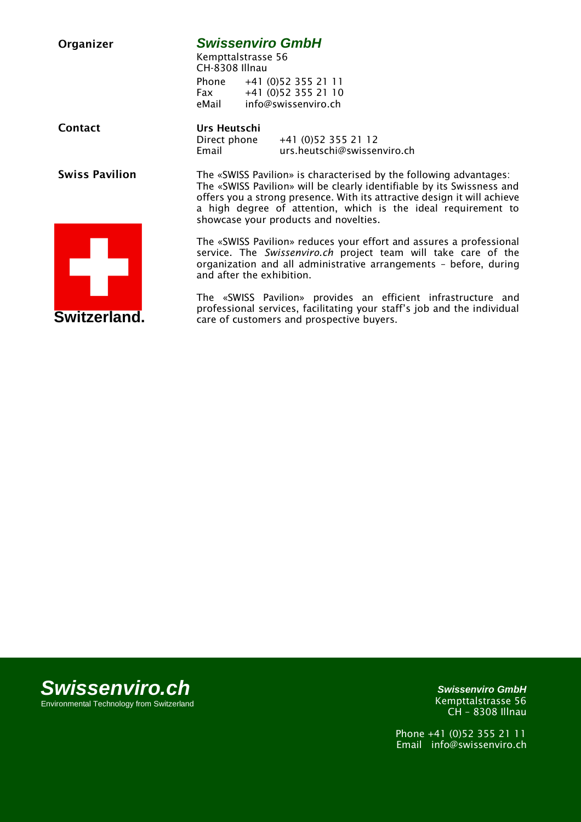| Organizer             | <b>Swissenviro GmbH</b><br>Kempttalstrasse 56<br>CH-8308 Illnau                                                                                                                                                                                                                                                                    |  |  |
|-----------------------|------------------------------------------------------------------------------------------------------------------------------------------------------------------------------------------------------------------------------------------------------------------------------------------------------------------------------------|--|--|
|                       | +41 (0) 52 355 21 11<br>Phone<br>+41 (0)52 355 21 10<br><b>Fax</b><br>info@swissenviro.ch<br>eMail                                                                                                                                                                                                                                 |  |  |
| <b>Contact</b>        | Urs Heutschi<br>Direct phone<br>+41 (0)52 355 21 12<br>Email<br>urs.heutschi@swissenviro.ch                                                                                                                                                                                                                                        |  |  |
| <b>Swiss Pavilion</b> | The «SWISS Pavilion» is characterised by the following advantages:<br>The «SWISS Pavilion» will be clearly identifiable by its Swissness and<br>offers you a strong presence. With its attractive design it will achieve<br>a high degree of attention, which is the ideal requirement to<br>showcase your products and novelties. |  |  |
|                       | The «SWISS Pavilion» reduces your effort and assures a professional<br>service. The Swissenviro.ch project team will take care of the<br>organization and all administrative arrangements - before, during<br>and after the exhibition.                                                                                            |  |  |
| Switzerland.          | The «SWISS Pavilion» provides an efficient infrastructure and<br>professional services, facilitating your staff's job and the individual<br>care of customers and prospective buyers.                                                                                                                                              |  |  |

*Swissenviro.ch* Environmental Technology from Switzerland

*Swissenviro GmbH* Kempttalstrasse 56 CH – 8308 Illnau

Phone +41 (0)52 355 21 11 Email info@swissenviro.ch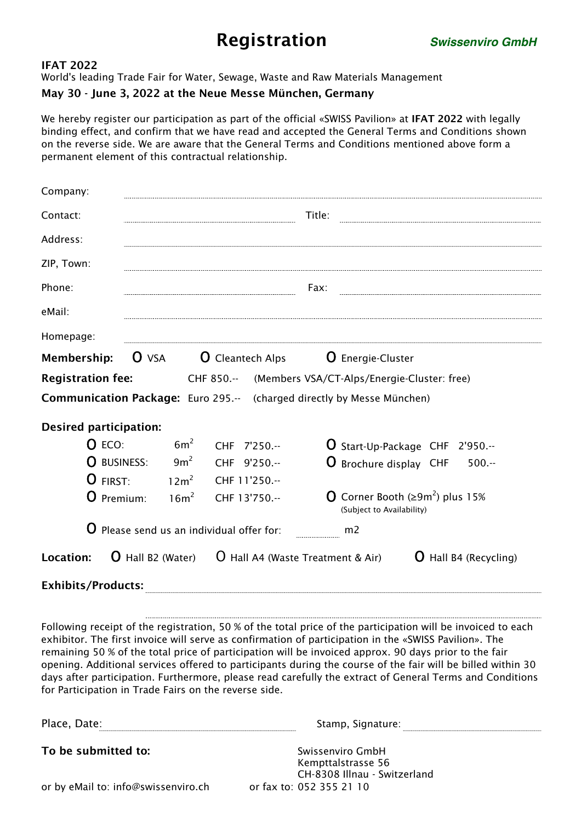# Registration *Swissenviro GmbH*

## IFAT 2022

World's leading Trade Fair for Water, Sewage, Waste and Raw Materials Management

# May 30 - June 3, 2022 at the Neue Messe München, Germany

We hereby register our participation as part of the official «SWISS Pavilion» at IFAT 2022 with legally binding effect, and confirm that we have read and accepted the General Terms and Conditions shown on the reverse side. We are aware that the General Terms and Conditions mentioned above form a permanent element of this contractual relationship.

| Company:                                                                      |                                         |                                                                     |                                                                      |  |  |
|-------------------------------------------------------------------------------|-----------------------------------------|---------------------------------------------------------------------|----------------------------------------------------------------------|--|--|
| Contact:                                                                      | Title:                                  |                                                                     |                                                                      |  |  |
| Address:                                                                      |                                         |                                                                     |                                                                      |  |  |
| ZIP, Town:                                                                    |                                         |                                                                     |                                                                      |  |  |
| Phone:                                                                        | Fax:                                    |                                                                     |                                                                      |  |  |
| eMail:                                                                        |                                         |                                                                     |                                                                      |  |  |
| Homepage:                                                                     |                                         |                                                                     |                                                                      |  |  |
| Membership:                                                                   | $O$ VSA                                 |                                                                     | <b>O</b> Cleantech Alps <b>O</b> Energie-Cluster                     |  |  |
| <b>Registration fee:</b>                                                      |                                         |                                                                     | CHF 850.-- (Members VSA/CT-Alps/Energie-Cluster: free)               |  |  |
| <b>Communication Package:</b> Euro 295.-- (charged directly by Messe München) |                                         |                                                                     |                                                                      |  |  |
| <b>Desired participation:</b>                                                 |                                         |                                                                     |                                                                      |  |  |
| $O$ ECO:                                                                      | 6m <sup>2</sup>                         | CHF 7'250.--                                                        | <b>U</b> Start-Up-Package CHF 2'950.--                               |  |  |
| O BUSINESS:                                                                   | $9m^2$                                  | CHF 9'250.--                                                        | <b>O</b> Brochure display CHF<br>$500 -$                             |  |  |
| O FIRST:                                                                      | $12m^2$                                 | CHF 11'250.--                                                       |                                                                      |  |  |
| O Premium:                                                                    | $16m^2$                                 | CHF 13'750.--                                                       | O Corner Booth ( $\geq 9m^2$ ) plus 15%<br>(Subject to Availability) |  |  |
|                                                                               | Please send us an individual offer for: |                                                                     | m <sub>2</sub>                                                       |  |  |
| Location:                                                                     |                                         | <b>O</b> Hall B2 (Water) $\qquad$ O Hall A4 (Waste Treatment & Air) | <b>U</b> Hall B4 (Recycling)                                         |  |  |
| <b>Exhibits/Products:</b>                                                     |                                         |                                                                     |                                                                      |  |  |

Following receipt of the registration, 50 % of the total price of the participation will be invoiced to each exhibitor. The first invoice will serve as confirmation of participation in the «SWISS Pavilion». The remaining 50 % of the total price of participation will be invoiced approx. 90 days prior to the fair opening. Additional services offered to participants during the course of the fair will be billed within 30 days after participation. Furthermore, please read carefully the extract of General Terms and Conditions for Participation in Trade Fairs on the reverse side.

| Place, Date:                        | Stamp, Signature:                                                      |
|-------------------------------------|------------------------------------------------------------------------|
| To be submitted to:                 | Swissenviro GmbH<br>Kempttalstrasse 56<br>CH-8308 Illnau - Switzerland |
| or by eMail to: info@swissenviro.ch | or fax to: 052 355 21 10                                               |